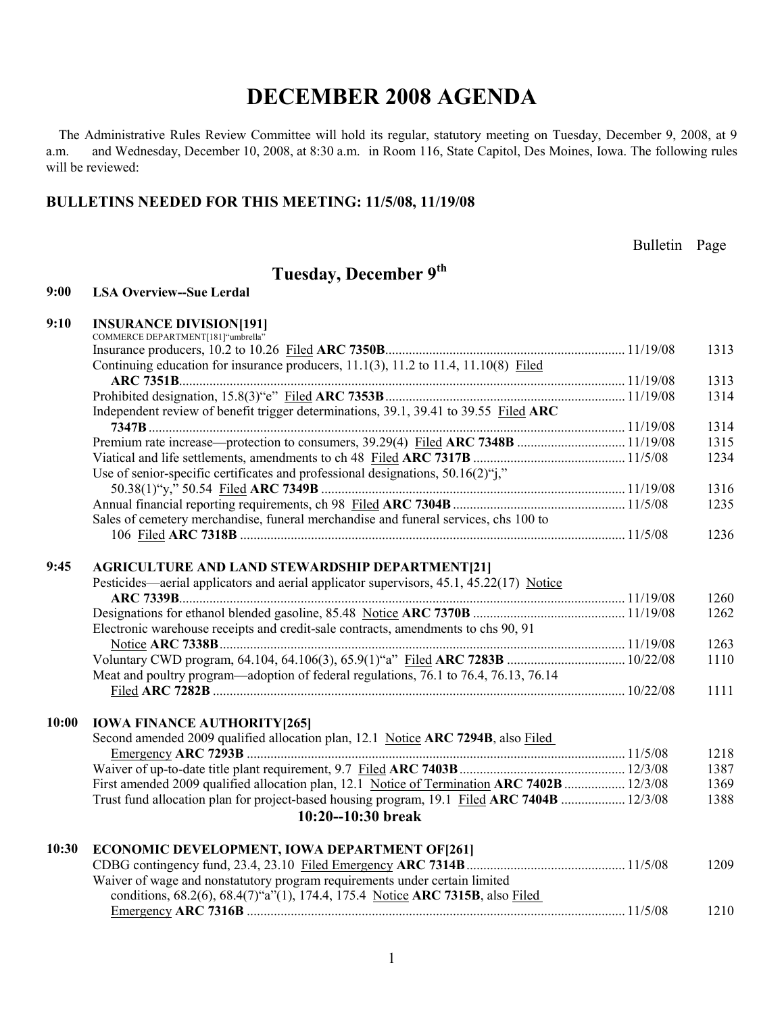The Administrative Rules Review Committee will hold its regular, statutory meeting on Tuesday, December 9, 2008, at 9 a.m. and Wednesday, December 10, 2008, at 8:30 a.m. in Room 116, State Capitol, Des Moines, Iowa. The following rules will be reviewed:

### **BULLETINS NEEDED FOR THIS MEETING: 11/5/08, 11/19/08**

Bulletin Page

### **Tuesday, December 9th**

#### **9:00 LSA Overview--Sue Lerdal**

| 9:10 | <b>INSURANCE DIVISION[191]</b> |  |
|------|--------------------------------|--|
|------|--------------------------------|--|

|       | COMMERCE DEPARTMENT[181] "umbrella"                                                         |              |
|-------|---------------------------------------------------------------------------------------------|--------------|
|       |                                                                                             | 1313         |
|       | Continuing education for insurance producers, 11.1(3), 11.2 to 11.4, 11.10(8) Filed         |              |
|       |                                                                                             | 1313         |
|       |                                                                                             | 1314         |
|       | Independent review of benefit trigger determinations, 39.1, 39.41 to 39.55 Filed ARC        |              |
|       |                                                                                             | 1314         |
|       |                                                                                             | 1315         |
|       |                                                                                             | 1234         |
|       | Use of senior-specific certificates and professional designations, $50.16(2)$ ";"           |              |
|       |                                                                                             | 1316         |
|       |                                                                                             | 1235         |
|       | Sales of cemetery merchandise, funeral merchandise and funeral services, chs 100 to         |              |
|       |                                                                                             | 1236         |
|       |                                                                                             |              |
| 9:45  | <b>AGRICULTURE AND LAND STEWARDSHIP DEPARTMENT[21]</b>                                      |              |
|       | Pesticides—aerial applicators and aerial applicator supervisors, 45.1, 45.22(17) Notice     |              |
|       |                                                                                             | 1260<br>1262 |
|       | Electronic warehouse receipts and credit-sale contracts, amendments to chs 90, 91           |              |
|       |                                                                                             | 1263         |
|       |                                                                                             | 1110         |
|       | Meat and poultry program—adoption of federal regulations, 76.1 to 76.4, 76.13, 76.14        |              |
|       |                                                                                             | 1111         |
|       |                                                                                             |              |
| 10:00 | <b>IOWA FINANCE AUTHORITY[265]</b>                                                          |              |
|       | Second amended 2009 qualified allocation plan, 12.1 Notice ARC 7294B, also Filed            |              |
|       |                                                                                             | 1218         |
|       |                                                                                             | 1387         |
|       | First amended 2009 qualified allocation plan, 12.1 Notice of Termination ARC 7402B  12/3/08 | 1369         |
|       | Trust fund allocation plan for project-based housing program, 19.1 Filed ARC 7404B  12/3/08 | 1388         |
|       | 10:20--10:30 break                                                                          |              |
| 10:30 | ECONOMIC DEVELOPMENT, IOWA DEPARTMENT OF [261]                                              |              |
|       |                                                                                             | 1209         |
|       | Waiver of wage and nonstatutory program requirements under certain limited                  |              |
|       | conditions, 68.2(6), 68.4(7)"a"(1), 174.4, 175.4 Notice ARC 7315B, also Filed               |              |
|       |                                                                                             | 1210         |
|       |                                                                                             |              |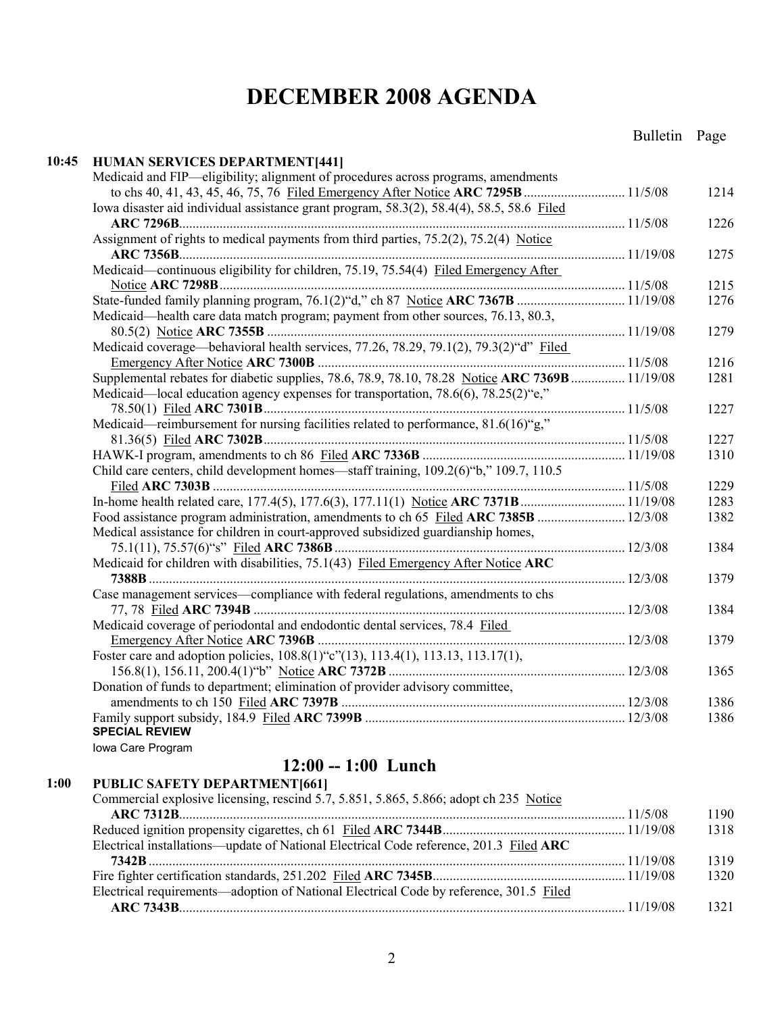#### **10:45 HUMAN SERVICES DEPARTMENT[441]** Medicaid and FIP—eligibility; alignment of procedures across programs, amendments to chs 40, 41, 43, 45, 46, 75, 76 Filed Emergency After Notice **ARC 7295B**.............................. 11/5/08 1214 Iowa disaster aid individual assistance grant program, 58.3(2), 58.4(4), 58.5, 58.6 Filed **ARC 7296B**.................................................................................................................................... 11/5/08 1226 Assignment of rights to medical payments from third parties, 75.2(2), 75.2(4) Notice **ARC 7356B**.................................................................................................................................... 11/19/08 1275 Medicaid—continuous eligibility for children, 75.19, 75.54(4) Filed Emergency After Notice **ARC 7298B**........................................................................................................................ 11/5/08 1215 State-funded family planning program, 76.1(2)"d," ch 87 Notice **ARC 7367B** ................................ 11/19/08 1276 Medicaid—health care data match program; payment from other sources, 76.13, 80.3, 80.5(2) Notice **ARC 7355B** .......................................................................................................... 11/19/08 1279 Medicaid coverage—behavioral health services, 77.26, 78.29, 79.1(2), 79.3(2)"d" Filed Emergency After Notice **ARC 7300B** ........................................................................................... 11/5/08 1216 Supplemental rebates for diabetic supplies, 78.6, 78.9, 78.10, 78.28 Notice **ARC 7369B**................ 11/19/08 1281 Medicaid—local education agency expenses for transportation, 78.6(6), 78.25(2) "e," 78.50(1) Filed **ARC 7301B**........................................................................................................... 11/5/08 1227 Medicaid—reimbursement for nursing facilities related to performance, 81.6(16)"g," 81.36(5) Filed **ARC 7302B**........................................................................................................... 11/5/08 1227 HAWK-I program, amendments to ch 86 Filed **ARC 7336B** ............................................................ 11/19/08 1310 Child care centers, child development homes—staff training, 109.2(6)"b," 109.7, 110.5 Filed **ARC 7303B** .......................................................................................................................... 11/5/08 1229 In-home health related care, 177.4(5), 177.6(3), 177.11(1) Notice **ARC 7371B**............................... 11/19/08 1283 Food assistance program administration, amendments to ch 65 Filed **ARC 7385B** .......................... 12/3/08 1382 Medical assistance for children in court-approved subsidized guardianship homes, 75.1(11), 75.57(6)"s" Filed **ARC 7386B**...................................................................................... 12/3/08 1384 Medicaid for children with disabilities, 75.1(43) Filed Emergency After Notice **ARC 7388B**............................................................................................................................................. 12/3/08 1379 Case management services—compliance with federal regulations, amendments to chs 77, 78 Filed **ARC 7394B** .............................................................................................................. 12/3/08 1384 Medicaid coverage of periodontal and endodontic dental services, 78.4 Filed Emergency After Notice **ARC 7396B** ........................................................................................... 12/3/08 1379 Foster care and adoption policies, 108.8(1)"c"(13), 113.4(1), 113.13, 113.17(1), 156.8(1), 156.11, 200.4(1)"b" Notice **ARC 7372B** ...................................................................... 12/3/08 1365 Donation of funds to department; elimination of provider advisory committee, amendments to ch 150 Filed **ARC 7397B** .................................................................................... 12/3/08 1386 Family support subsidy, 184.9 Filed **ARC 7399B** ............................................................................. 12/3/08 1386 **SPECIAL REVIEW**  Iowa Care Program **12:00 -- 1:00 Lunch 1:00 PUBLIC SAFETY DEPARTMENT[661]**

| I ODLIC SALLETT DELLINTMENT [001]                                                      |      |
|----------------------------------------------------------------------------------------|------|
| Commercial explosive licensing, rescind 5.7, 5.851, 5.865, 5.866; adopt ch 235 Notice  |      |
|                                                                                        | 1190 |
|                                                                                        | 1318 |
| Electrical installations—update of National Electrical Code reference, 201.3 Filed ARC |      |
|                                                                                        | 1319 |
|                                                                                        | 1320 |
| Electrical requirements—adoption of National Electrical Code by reference, 301.5 Filed |      |
|                                                                                        | 1321 |
|                                                                                        |      |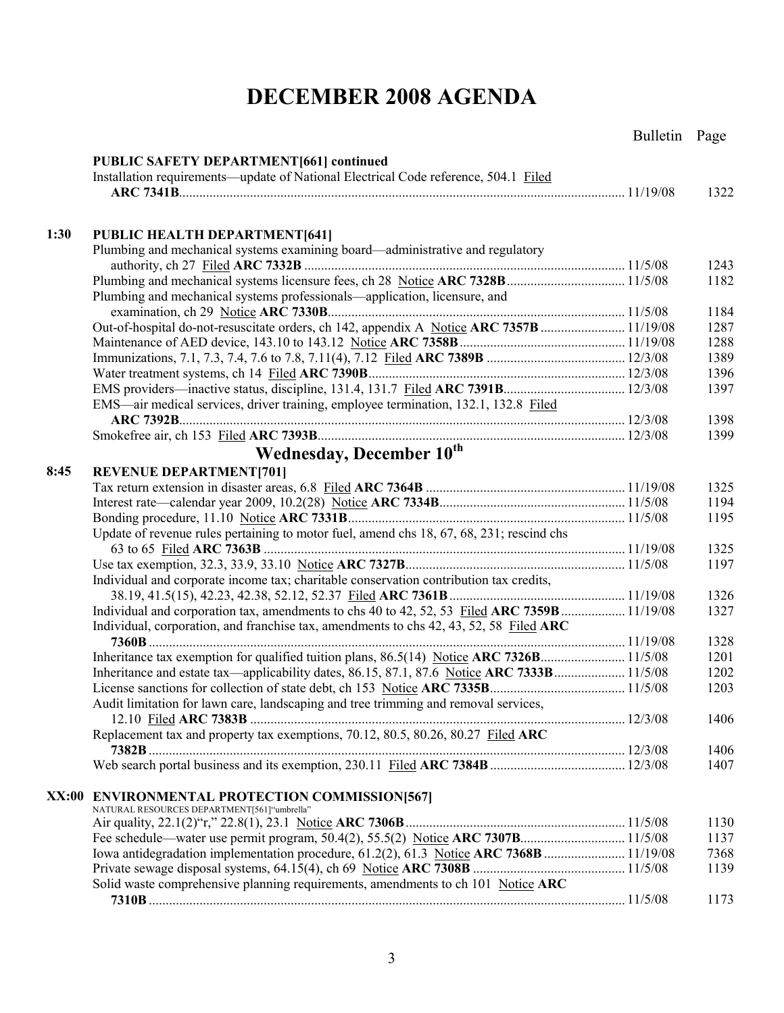|       |                                                                                                 | Bulletin Page |              |
|-------|-------------------------------------------------------------------------------------------------|---------------|--------------|
|       | <b>PUBLIC SAFETY DEPARTMENT[661] continued</b>                                                  |               |              |
|       | Installation requirements—update of National Electrical Code reference, 504.1 Filed             |               |              |
|       |                                                                                                 |               | 1322         |
|       |                                                                                                 |               |              |
| 1:30  | <b>PUBLIC HEALTH DEPARTMENT[641]</b>                                                            |               |              |
|       | Plumbing and mechanical systems examining board—administrative and regulatory                   |               |              |
|       |                                                                                                 |               | 1243         |
|       |                                                                                                 |               | 1182         |
|       | Plumbing and mechanical systems professionals—application, licensure, and                       |               |              |
|       |                                                                                                 |               | 1184         |
|       | Out-of-hospital do-not-resuscitate orders, ch 142, appendix A Notice ARC 7357B  11/19/08        |               | 1287         |
|       |                                                                                                 |               | 1288         |
|       |                                                                                                 |               | 1389<br>1396 |
|       |                                                                                                 |               | 1397         |
|       | EMS—air medical services, driver training, employee termination, 132.1, 132.8 Filed             |               |              |
|       |                                                                                                 |               | 1398         |
|       |                                                                                                 |               | 1399         |
|       | Wednesday, December 10th                                                                        |               |              |
|       |                                                                                                 |               |              |
| 8:45  | <b>REVENUE DEPARTMENT[701]</b>                                                                  |               |              |
|       |                                                                                                 |               | 1325<br>1194 |
|       |                                                                                                 |               | 1195         |
|       | Update of revenue rules pertaining to motor fuel, amend chs 18, 67, 68, 231; rescind chs        |               |              |
|       |                                                                                                 |               | 1325         |
|       |                                                                                                 |               | 1197         |
|       | Individual and corporate income tax; charitable conservation contribution tax credits,          |               |              |
|       |                                                                                                 |               | 1326         |
|       |                                                                                                 |               | 1327         |
|       | Individual, corporation, and franchise tax, amendments to chs 42, 43, 52, 58 Filed ARC          |               |              |
|       |                                                                                                 |               | 1328         |
|       |                                                                                                 |               | 1201         |
|       | Inheritance and estate tax—applicability dates, 86.15, 87.1, 87.6 Notice ARC 7333B  11/5/08     |               | 1202         |
|       |                                                                                                 |               | 1203         |
|       | Audit limitation for lawn care, landscaping and tree trimming and removal services,             |               |              |
|       |                                                                                                 |               | 1406         |
|       | Replacement tax and property tax exemptions, 70.12, 80.5, 80.26, 80.27 Filed ARC                |               |              |
|       |                                                                                                 |               | 1406         |
|       |                                                                                                 |               | 1407         |
|       |                                                                                                 |               |              |
| XX:00 | <b>ENVIRONMENTAL PROTECTION COMMISSION[567]</b><br>NATURAL RESOURCES DEPARTMENT[561] "umbrella" |               |              |
|       |                                                                                                 |               | 1130         |
|       |                                                                                                 |               | 1137         |
|       | Iowa antidegradation implementation procedure, 61.2(2), 61.3 Notice ARC 7368B  11/19/08         |               | 7368         |
|       |                                                                                                 |               | 1139         |
|       | Solid waste comprehensive planning requirements, amendments to ch 101 Notice ARC                |               |              |
|       |                                                                                                 |               | 1173         |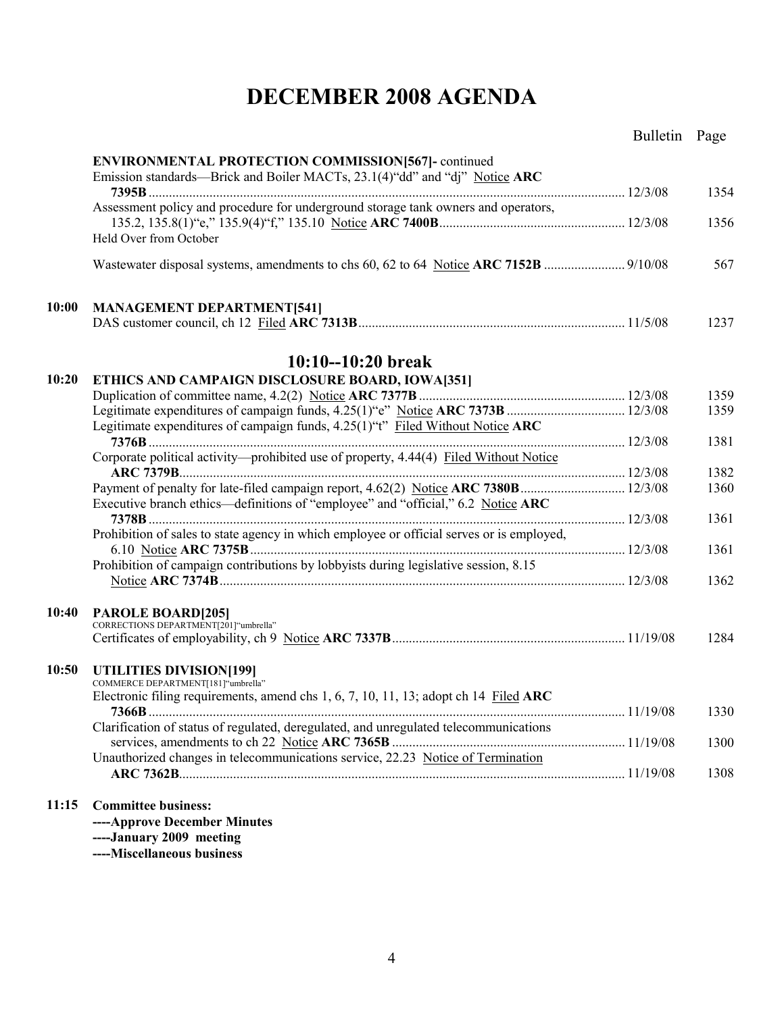|       |                                                                                                                                          | Bulletin Page |      |
|-------|------------------------------------------------------------------------------------------------------------------------------------------|---------------|------|
|       | <b>ENVIRONMENTAL PROTECTION COMMISSION[567]-</b> continued<br>Emission standards—Brick and Boiler MACTs, 23.1(4)"dd" and "dj" Notice ARC |               |      |
|       | Assessment policy and procedure for underground storage tank owners and operators,                                                       |               | 1354 |
|       | Held Over from October                                                                                                                   |               | 1356 |
|       |                                                                                                                                          |               | 567  |
| 10:00 | <b>MANAGEMENT DEPARTMENT[541]</b>                                                                                                        |               |      |
|       |                                                                                                                                          |               | 1237 |
|       | $10:10 - 10:20$ break                                                                                                                    |               |      |
| 10:20 | ETHICS AND CAMPAIGN DISCLOSURE BOARD, IOWA[351]                                                                                          |               | 1359 |
|       |                                                                                                                                          |               | 1359 |
|       | Legitimate expenditures of campaign funds, 4.25(1)"t" Filed Without Notice ARC                                                           |               |      |
|       |                                                                                                                                          |               | 1381 |
|       | Corporate political activity—prohibited use of property, 4.44(4) Filed Without Notice                                                    |               |      |
|       |                                                                                                                                          |               | 1382 |
|       | Payment of penalty for late-filed campaign report, 4.62(2) Notice ARC 7380B 12/3/08                                                      |               | 1360 |
|       | Executive branch ethics—definitions of "employee" and "official," 6.2 Notice ARC                                                         |               | 1361 |
|       | Prohibition of sales to state agency in which employee or official serves or is employed,                                                |               |      |
|       |                                                                                                                                          |               | 1361 |
|       | Prohibition of campaign contributions by lobbyists during legislative session, 8.15                                                      |               |      |
|       |                                                                                                                                          |               | 1362 |
| 10:40 |                                                                                                                                          |               |      |
|       | PAROLE BOARD[205]<br>CORRECTIONS DEPARTMENT[201]"umbrella"                                                                               |               |      |
|       |                                                                                                                                          |               | 1284 |
| 10:50 | UTILITIES DIVISION[199]<br>COMMERCE DEPARTMENT[181]"umbrella"                                                                            |               |      |
|       | Electronic filing requirements, amend chs 1, 6, 7, 10, 11, 13; adopt ch 14 Filed ARC                                                     |               | 1330 |
|       | Clarification of status of regulated, deregulated, and unregulated telecommunications                                                    |               | 1300 |
|       | Unauthorized changes in telecommunications service, 22.23 Notice of Termination                                                          |               |      |
|       |                                                                                                                                          |               | 1308 |
| 11:15 | <b>Committee business:</b>                                                                                                               |               |      |
|       | ----Approve December Minutes                                                                                                             |               |      |
|       | ----January 2009 meeting                                                                                                                 |               |      |

**----Miscellaneous business**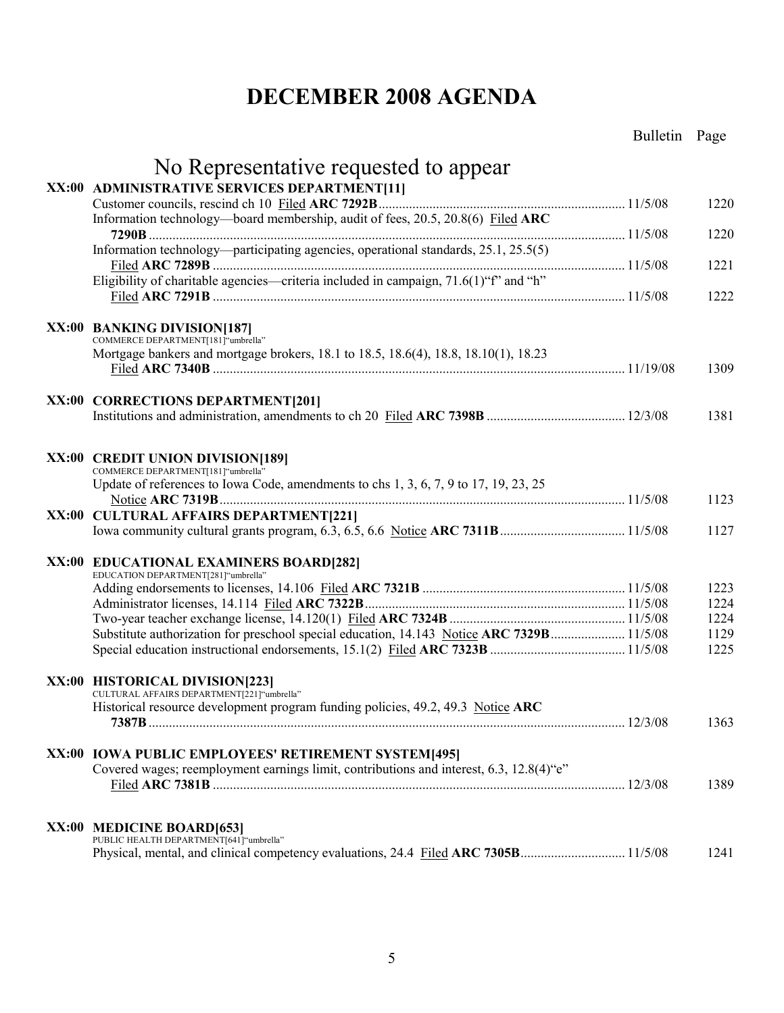|                                                                                                                           | Bulletin Page |              |
|---------------------------------------------------------------------------------------------------------------------------|---------------|--------------|
| No Representative requested to appear                                                                                     |               |              |
| XX:00 ADMINISTRATIVE SERVICES DEPARTMENT[11]                                                                              |               |              |
|                                                                                                                           |               | 1220         |
| Information technology—board membership, audit of fees, 20.5, 20.8(6) Filed ARC                                           |               | 1220         |
| Information technology—participating agencies, operational standards, 25.1, 25.5(5)                                       |               | 1221         |
| Eligibility of charitable agencies—criteria included in campaign, 71.6(1)"f" and "h"                                      |               | 1222         |
| XX:00 BANKING DIVISION[187]                                                                                               |               |              |
| COMMERCE DEPARTMENT[181]"umbrella"<br>Mortgage bankers and mortgage brokers, 18.1 to 18.5, 18.6(4), 18.8, 18.10(1), 18.23 |               | 1309         |
| XX:00 CORRECTIONS DEPARTMENT[201]                                                                                         |               |              |
|                                                                                                                           |               | 1381         |
| XX:00 CREDIT UNION DIVISION[189]<br>COMMERCE DEPARTMENT[181]"umbrella"                                                    |               |              |
| Update of references to Iowa Code, amendments to chs 1, 3, 6, 7, 9 to 17, 19, 23, 25                                      |               |              |
|                                                                                                                           |               | 1123         |
| XX:00 CULTURAL AFFAIRS DEPARTMENT[221]                                                                                    |               | 1127         |
|                                                                                                                           |               |              |
| XX:00 EDUCATIONAL EXAMINERS BOARD[282]<br>EDUCATION DEPARTMENT[281]"umbrella"                                             |               |              |
|                                                                                                                           |               | 1223         |
|                                                                                                                           |               | 1224         |
|                                                                                                                           |               | 1224<br>1129 |
| Substitute authorization for preschool special education, 14.143 Notice ARC 7329B 11/5/08                                 |               | 1225         |
| XX:00 HISTORICAL DIVISION[223]<br>CULTURAL AFFAIRS DEPARTMENT[221]"umbrella"                                              |               |              |
| Historical resource development program funding policies, 49.2, 49.3 Notice ARC                                           |               |              |
|                                                                                                                           |               | 1363         |
| XX:00 IOWA PUBLIC EMPLOYEES' RETIREMENT SYSTEM[495]                                                                       |               |              |
| Covered wages; reemployment earnings limit, contributions and interest, 6.3, 12.8(4) "e"                                  |               | 1389         |
|                                                                                                                           |               |              |
| XX:00 MEDICINE BOARD[653]<br>PUBLIC HEALTH DEPARTMENT[641] "umbrella"                                                     |               | 1241         |